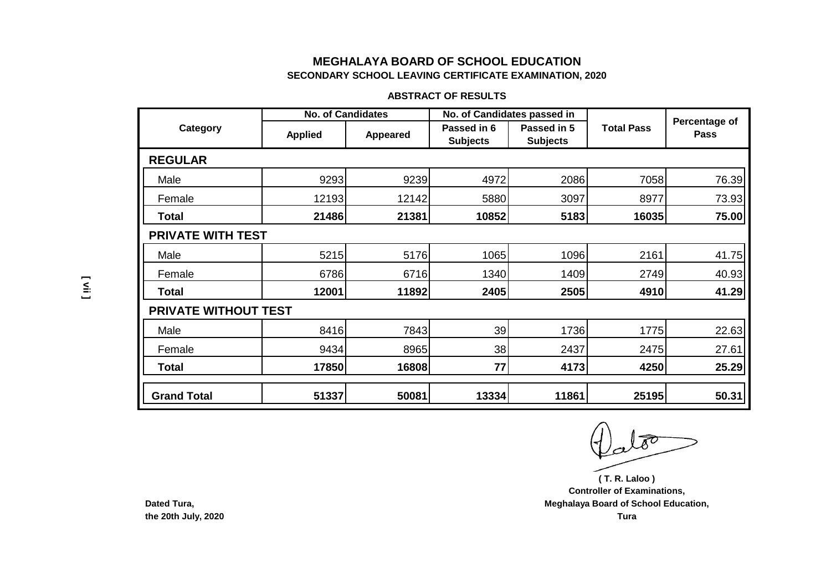#### **ABSTRACT OF RESULTS**

|                             | <b>No. of Candidates</b> |          |                                | No. of Candidates passed in    |                   |                              |
|-----------------------------|--------------------------|----------|--------------------------------|--------------------------------|-------------------|------------------------------|
| Category                    | <b>Applied</b>           | Appeared | Passed in 6<br><b>Subjects</b> | Passed in 5<br><b>Subjects</b> | <b>Total Pass</b> | Percentage of<br><b>Pass</b> |
| <b>REGULAR</b>              |                          |          |                                |                                |                   |                              |
| Male                        | 9293                     | 9239     | 4972                           | 2086                           | 7058              | 76.39                        |
| Female                      | 12193                    | 12142    | 5880                           | 3097                           | 8977              | 73.93                        |
| Total                       | 21486                    | 21381    | 10852                          | 5183                           | 16035             | 75.00                        |
| <b>PRIVATE WITH TEST</b>    |                          |          |                                |                                |                   |                              |
| Male                        | 5215                     | 5176     | 1065                           | 1096                           | 2161              | 41.75                        |
| Female                      | 6786                     | 6716     | 1340                           | 1409                           | 2749              | 40.93                        |
| Total                       | 12001                    | 11892    | 2405                           | 2505                           | 4910              | 41.29                        |
| <b>PRIVATE WITHOUT TEST</b> |                          |          |                                |                                |                   |                              |
| Male                        | 8416                     | 7843     | 39                             | 1736                           | 1775              | 22.63                        |
| Female                      | 9434                     | 8965     | 38                             | 2437                           | 2475              | 27.61                        |
| Total                       | 17850                    | 16808    | 77                             | 4173                           | 4250              | 25.29                        |
| <b>Grand Total</b>          | 51337                    | 50081    | 13334                          | 11861                          | 25195             | 50.31                        |

**Controller of Examinations, Meghalaya Board of School Education, Tura ( T. R. Laloo )**

**Dated Tura, the 20th July, 2020**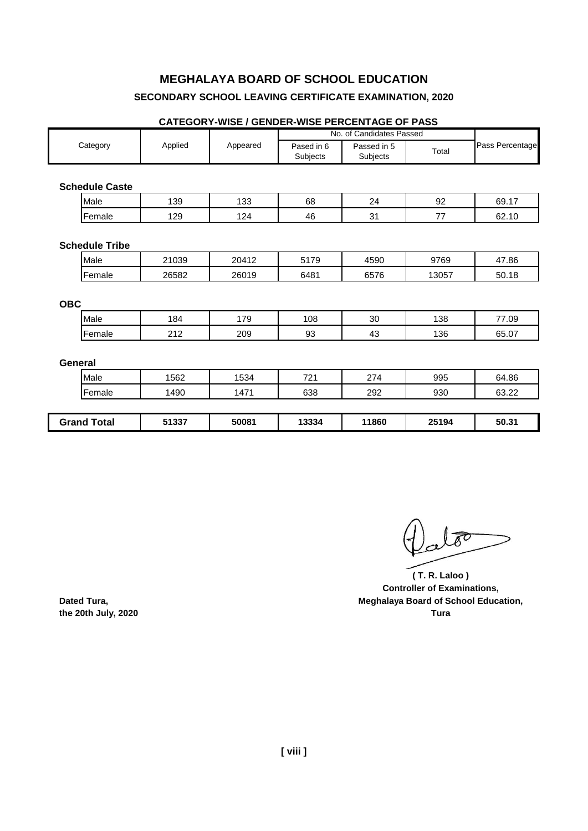#### **CATEGORY-WISE / GENDER-WISE PERCENTAGE OF PASS**

|                       |         |          |                        | No. of Candidates Passed |       |                 |  |
|-----------------------|---------|----------|------------------------|--------------------------|-------|-----------------|--|
| Category              | Applied | Appeared | Pased in 6<br>Subjects | Passed in 5<br>Subjects  | Total | Pass Percentage |  |
|                       |         |          |                        |                          |       |                 |  |
| <b>Schedule Caste</b> |         |          |                        |                          |       |                 |  |
| Male                  | 139     | 133      | 68                     | 24                       | 92    | 69.17           |  |
| Female                | 129     | 124      | 46                     | 31                       | 77    | 62.10           |  |
|                       |         |          |                        |                          |       |                 |  |
| <b>Schedule Tribe</b> |         |          |                        |                          |       |                 |  |
| Male                  | 21039   | 20412    | 5179                   | 4590                     | 9769  | 47.86           |  |
| Female                | 26582   | 26019    | 6481                   | 6576                     | 13057 | 50.18           |  |
|                       |         |          |                        |                          |       |                 |  |
| <b>OBC</b>            |         |          |                        |                          |       |                 |  |
| Male                  | 184     | 179      | 108                    | 30                       | 138   | 77.09           |  |
| Female                | 212     | 209      | 93                     | 43                       | 136   | 65.07           |  |
|                       |         |          |                        |                          |       |                 |  |
| <b>General</b>        |         |          |                        |                          |       |                 |  |
| Male                  | 1562    | 1534     | 721                    | 274                      | 995   | 64.86           |  |
| Female                | 1490    | 1471     | 638                    | 292                      | 930   | 63.22           |  |
|                       |         |          |                        |                          |       |                 |  |
| <b>Grand Total</b>    | 51337   | 50081    | 13334                  | 11860                    | 25194 | 50.31           |  |

**( T. R. Laloo ) Controller of Examinations, Dated Tura, Meghalaya Board of School Education, the 20th July, 2020 Tura**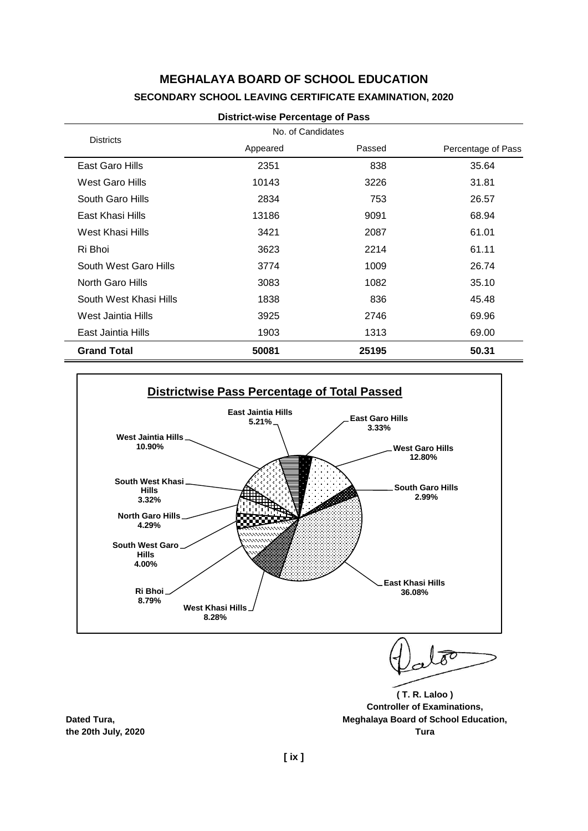| <b>Districts</b>       | No. of Candidates |        |                    |
|------------------------|-------------------|--------|--------------------|
|                        | Appeared          | Passed | Percentage of Pass |
| East Garo Hills        | 2351              | 838    | 35.64              |
| West Garo Hills        | 10143             | 3226   | 31.81              |
| South Garo Hills       | 2834              | 753    | 26.57              |
| East Khasi Hills       | 13186             | 9091   | 68.94              |
| West Khasi Hills       | 3421              | 2087   | 61.01              |
| Ri Bhoi                | 3623              | 2214   | 61.11              |
| South West Garo Hills  | 3774              | 1009   | 26.74              |
| North Garo Hills       | 3083              | 1082   | 35.10              |
| South West Khasi Hills | 1838              | 836    | 45.48              |
| West Jaintia Hills     | 3925              | 2746   | 69.96              |
| East Jaintia Hills     | 1903              | 1313   | 69.00              |
| <b>Grand Total</b>     | 50081             | 25195  | 50.31              |





**( T. R. Laloo ) Controller of Examinations,**

**Dated Tura, Meghalaya Board of School Education, the 20th July, 2020 Tura**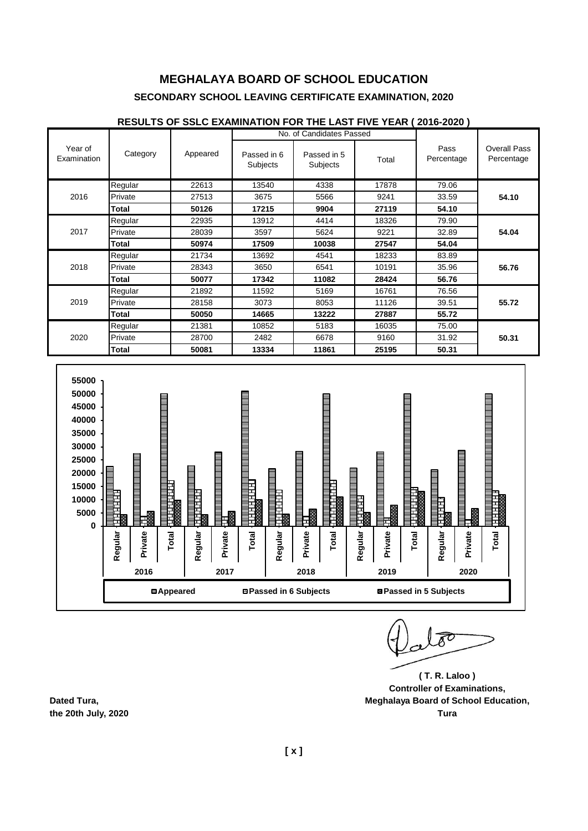#### Passed in 6 Subjects Passed in 5 Subjects Total Regular | 22613 | 13540 | 4338 | 17878 | 79.06 Private | 27513 | 3675 | 5566 | 9241 | 33.59 **| 54.10 Total 50126 17215 9904 27119 54.10** Regular | 22935 | 13912 | 4414 | 18326 | 79.90 Private 28039 3597 5624 9221 32.89 **54.04 Total 50974 17509 10038 27547 54.04** Regular | 21734 | 13692 | 4541 | 18233 | 83.89 Private | 28343 | 3650 | 6541 | 10191 | 35.96 | **56.76 Total 50077 17342 11082 28424 56.76** Regular | 21892 | 11592 | 5169 | 16761 | 76.56 Private | 28158 | 3073 | 8053 | 11126 | 39.51 | **55.72 Total 50050 14665 13222 27887 55.72** Regular | 21381 | 10852 | 5183 | 16035 | 75.00 Private 28700 2482 6678 9160 31.92 **50.31 Total 50081 13334 11861 25195 50.31** 2020 2016 2017 2018 2019 Year of Examination Category Appeared No. of Candidates Passed Pass Percentage Overall Pass Percentage





**( T. R. Laloo ) Controller of Examinations, Dated Tura, Meghalaya Board of School Education, the 20th July, 2020 Tura**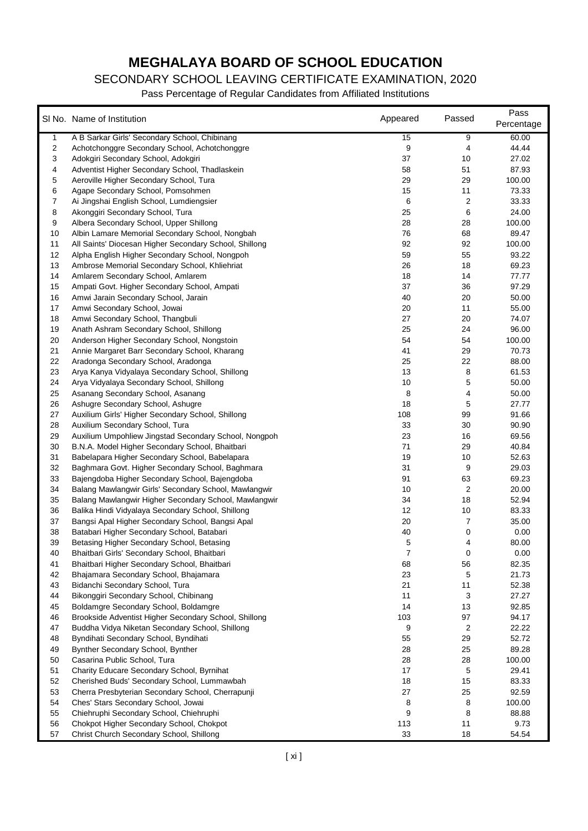# **MEGHALAYA BOARD OF SCHOOL EDUCATION**

#### SECONDARY SCHOOL LEAVING CERTIFICATE EXAMINATION, 2020

|          |                                                                           |          | Passed         | Pass           |
|----------|---------------------------------------------------------------------------|----------|----------------|----------------|
|          | SI No. Name of Institution                                                | Appeared |                | Percentage     |
| 1        | A B Sarkar Girls' Secondary School, Chibinang                             | 15       | 9              | 60.00          |
| 2        | Achotchonggre Secondary School, Achotchonggre                             | 9        | 4              | 44.44          |
| 3        | Adokgiri Secondary School, Adokgiri                                       | 37       | 10             | 27.02          |
| 4        | Adventist Higher Secondary School, Thadlaskein                            | 58       | 51             | 87.93          |
| 5        | Aeroville Higher Secondary School, Tura                                   | 29       | 29             | 100.00         |
| 6        | Agape Secondary School, Pomsohmen                                         | 15       | 11             | 73.33          |
| 7        | Ai Jingshai English School, Lumdiengsier                                  | 6        | 2              | 33.33          |
| 8        | Akonggiri Secondary School, Tura                                          | 25       | 6              | 24.00          |
| 9        | Albera Secondary School, Upper Shillong                                   | 28       | 28             | 100.00         |
| 10       | Albin Lamare Memorial Secondary School, Nongbah                           | 76       | 68             | 89.47          |
| 11       | All Saints' Diocesan Higher Secondary School, Shillong                    | 92       | 92             | 100.00         |
| 12       | Alpha English Higher Secondary School, Nongpoh                            | 59       | 55             | 93.22          |
| 13       | Ambrose Memorial Secondary School, Khliehriat                             | 26       | 18             | 69.23          |
| 14       | Amlarem Secondary School, Amlarem                                         | 18       | 14             | 77.77          |
| 15       | Ampati Govt. Higher Secondary School, Ampati                              | 37       | 36             | 97.29          |
| 16       | Amwi Jarain Secondary School, Jarain                                      | 40       | 20             | 50.00          |
| 17       | Amwi Secondary School, Jowai                                              | 20       | 11             | 55.00          |
| 18       | Amwi Secondary School, Thangbuli                                          | 27       | 20             | 74.07          |
| 19       | Anath Ashram Secondary School, Shillong                                   | 25       | 24             | 96.00          |
| 20       | Anderson Higher Secondary School, Nongstoin                               | 54       | 54             | 100.00         |
| 21       | Annie Margaret Barr Secondary School, Kharang                             | 41       | 29             | 70.73          |
| 22       | Aradonga Secondary School, Aradonga                                       | 25       | 22             | 88.00          |
| 23       | Arya Kanya Vidyalaya Secondary School, Shillong                           | 13       | 8              | 61.53          |
| 24       | Arya Vidyalaya Secondary School, Shillong                                 | 10       | 5              | 50.00          |
| 25       | Asanang Secondary School, Asanang                                         | 8        | 4              | 50.00          |
| 26       | Ashugre Secondary School, Ashugre                                         | 18       | 5              | 27.77          |
| 27       | Auxilium Girls' Higher Secondary School, Shillong                         | 108      | 99             | 91.66          |
| 28       | Auxilium Secondary School, Tura                                           | 33       | 30             | 90.90          |
| 29       | Auxilium Umpohliew Jingstad Secondary School, Nongpoh                     | 23       | 16             | 69.56          |
| 30       | B.N.A. Model Higher Secondary School, Bhaitbari                           | 71       | 29             | 40.84          |
| 31       | Babelapara Higher Secondary School, Babelapara                            | 19       | 10             | 52.63          |
| 32       | Baghmara Govt. Higher Secondary School, Baghmara                          | 31       | 9              | 29.03          |
| 33       | Bajengdoba Higher Secondary School, Bajengdoba                            | 91       | 63             | 69.23          |
| 34       | Balang Mawlangwir Girls' Secondary School, Mawlangwir                     | 10       | $\overline{c}$ | 20.00          |
| 35       | Balang Mawlangwir Higher Secondary School, Mawlangwir                     | 34       | 18             | 52.94          |
| 36       | Balika Hindi Vidyalaya Secondary School, Shillong                         | 12       | 10             | 83.33          |
| 37       | Bangsi Apal Higher Secondary School, Bangsi Apal                          | 20       | 7              | 35.00          |
| 38       | Batabari Higher Secondary School, Batabari                                | 40       | 0              | 0.00           |
| 39       | Betasing Higher Secondary School, Betasing                                | 5        | 4              | 80.00          |
| 40       | Bhaitbari Girls' Secondary School, Bhaitbari                              | 7        | 0              | 0.00           |
| 41       | Bhaitbari Higher Secondary School, Bhaitbari                              | 68       | 56             | 82.35          |
| 42       | Bhajamara Secondary School, Bhajamara                                     | 23       | 5              | 21.73          |
| 43<br>44 | Bidanchi Secondary School, Tura<br>Bikonggiri Secondary School, Chibinang | 21<br>11 | 11             | 52.38<br>27.27 |
| 45       | Boldamgre Secondary School, Boldamgre                                     | 14       | 3<br>13        | 92.85          |
| 46       | Brookside Adventist Higher Secondary School, Shillong                     | 103      | 97             | 94.17          |
| 47       | Buddha Vidya Niketan Secondary School, Shillong                           | 9        | 2              | 22.22          |
| 48       | Byndihati Secondary School, Byndihati                                     | 55       | 29             | 52.72          |
| 49       | Bynther Secondary School, Bynther                                         | 28       | 25             | 89.28          |
| 50       | Casarina Public School, Tura                                              | 28       | 28             | 100.00         |
| 51       | Charity Educare Secondary School, Byrnihat                                | 17       | 5              | 29.41          |
| 52       | Cherished Buds' Secondary School, Lummawbah                               | 18       | 15             | 83.33          |
| 53       | Cherra Presbyterian Secondary School, Cherrapunji                         | 27       | 25             | 92.59          |
| 54       | Ches' Stars Secondary School, Jowai                                       | 8        | 8              | 100.00         |
| 55       | Chiehruphi Secondary School, Chiehruphi                                   | 9        | 8              | 88.88          |
| 56       | Chokpot Higher Secondary School, Chokpot                                  | 113      | 11             | 9.73           |
| 57       | Christ Church Secondary School, Shillong                                  | 33       | 18             | 54.54          |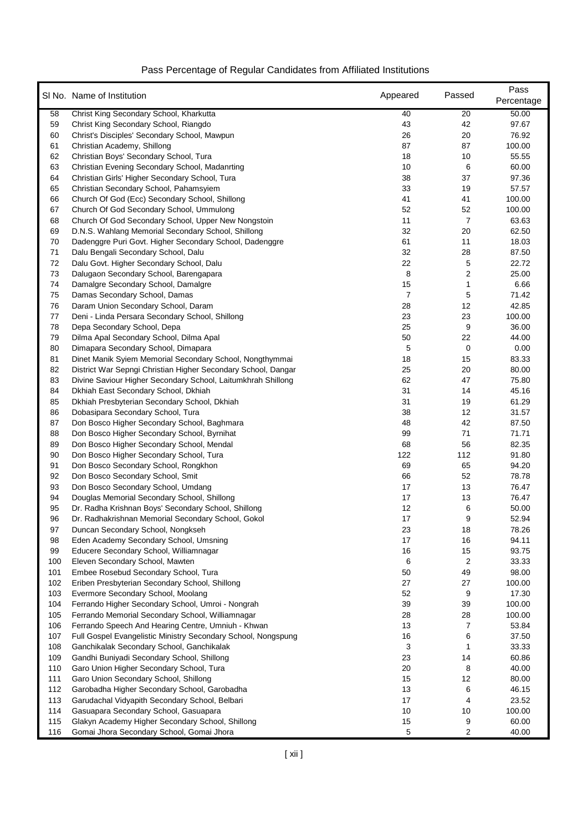|          | SI No. Name of Institution                                                           | Appeared | Passed                  | Pass<br>Percentage |
|----------|--------------------------------------------------------------------------------------|----------|-------------------------|--------------------|
| 58       | Christ King Secondary School, Kharkutta                                              | 40       | 20                      | 50.00              |
| 59       | Christ King Secondary School, Riangdo                                                | 43       | 42                      | 97.67              |
| 60       | Christ's Disciples' Secondary School, Mawpun                                         | 26       | 20                      | 76.92              |
| 61       | Christian Academy, Shillong                                                          | 87       | 87                      | 100.00             |
| 62       | Christian Boys' Secondary School, Tura                                               | 18       | 10                      | 55.55              |
| 63       | Christian Evening Secondary School, Madanrting                                       | 10       | 6                       | 60.00              |
| 64       | Christian Girls' Higher Secondary School, Tura                                       | 38       | 37                      | 97.36              |
| 65       | Christian Secondary School, Pahamsyiem                                               | 33       | 19                      | 57.57              |
| 66       | Church Of God (Ecc) Secondary School, Shillong                                       | 41       | 41                      | 100.00             |
| 67       | Church Of God Secondary School, Ummulong                                             | 52       | 52                      | 100.00             |
| 68       | Church Of God Secondary School, Upper New Nongstoin                                  | 11       | 7                       | 63.63              |
| 69       | D.N.S. Wahlang Memorial Secondary School, Shillong                                   | 32       | 20                      | 62.50              |
| 70       | Dadenggre Puri Govt. Higher Secondary School, Dadenggre                              | 61       | 11                      | 18.03              |
| 71       | Dalu Bengali Secondary School, Dalu                                                  | 32       | 28                      | 87.50              |
| 72       | Dalu Govt. Higher Secondary School, Dalu                                             | 22       | 5                       | 22.72              |
| 73       | Dalugaon Secondary School, Barengapara                                               | 8        | $\overline{\mathbf{c}}$ | 25.00              |
| 74       | Damalgre Secondary School, Damalgre                                                  | 15       | 1                       | 6.66               |
| 75       | Damas Secondary School, Damas                                                        | 7        | 5                       | 71.42              |
| 76       | Daram Union Secondary School, Daram                                                  | 28       | 12                      | 42.85              |
| 77       | Deni - Linda Persara Secondary School, Shillong                                      | 23       | 23                      | 100.00             |
| 78       | Depa Secondary School, Depa                                                          | 25       | 9                       | 36.00              |
| 79       | Dilma Apal Secondary School, Dilma Apal                                              | 50       | 22                      | 44.00              |
| 80       | Dimapara Secondary School, Dimapara                                                  | 5        | 0                       | 0.00               |
| 81       | Dinet Manik Syiem Memorial Secondary School, Nongthymmai                             | 18       | 15                      | 83.33              |
| 82       | District War Sepngi Christian Higher Secondary School, Dangar                        | 25       | 20                      | 80.00              |
| 83       | Divine Saviour Higher Secondary School, Laitumkhrah Shillong                         | 62       | 47                      | 75.80              |
| 84<br>85 | Dkhiah East Secondary School, Dkhiah<br>Dkhiah Presbyterian Secondary School, Dkhiah | 31<br>31 | 14<br>19                | 45.16<br>61.29     |
| 86       | Dobasipara Secondary School, Tura                                                    | 38       | 12                      | 31.57              |
| 87       | Don Bosco Higher Secondary School, Baghmara                                          | 48       | 42                      | 87.50              |
| 88       | Don Bosco Higher Secondary School, Byrnihat                                          | 99       | 71                      | 71.71              |
| 89       | Don Bosco Higher Secondary School, Mendal                                            | 68       | 56                      | 82.35              |
| 90       | Don Bosco Higher Secondary School, Tura                                              | 122      | 112                     | 91.80              |
| 91       | Don Bosco Secondary School, Rongkhon                                                 | 69       | 65                      | 94.20              |
| 92       | Don Bosco Secondary School, Smit                                                     | 66       | 52                      | 78.78              |
| 93       | Don Bosco Secondary School, Umdang                                                   | 17       | 13                      | 76.47              |
| 94       | Douglas Memorial Secondary School, Shillong                                          | 17       | 13                      | 76.47              |
| 95       | Dr. Radha Krishnan Boys' Secondary School, Shillong                                  | 12       | 6                       | 50.00              |
| 96       | Dr. Radhakrishnan Memorial Secondary School, Gokol                                   | 17       | 9                       | 52.94              |
| 97       | Duncan Secondary School, Nongkseh                                                    | 23       | 18                      | 78.26              |
| 98       | Eden Academy Secondary School, Umsning                                               | 17       | 16                      | 94.11              |
| 99       | Educere Secondary School, Williamnagar                                               | 16       | 15                      | 93.75              |
| 100      | Eleven Secondary School, Mawten                                                      | 6        | 2                       | 33.33              |
| 101      | Embee Rosebud Secondary School, Tura                                                 | 50       | 49                      | 98.00              |
| 102      | Eriben Presbyterian Secondary School, Shillong                                       | 27       | 27                      | 100.00             |
| 103      | Evermore Secondary School, Moolang                                                   | 52       | 9                       | 17.30              |
| 104      | Ferrando Higher Secondary School, Umroi - Nongrah                                    | 39       | 39                      | 100.00             |
| 105      | Ferrando Memorial Secondary School, Williamnagar                                     | 28       | 28                      | 100.00             |
| 106      | Ferrando Speech And Hearing Centre, Umniuh - Khwan                                   | 13       | 7                       | 53.84              |
| 107      | Full Gospel Evangelistic Ministry Secondary School, Nongspung                        | 16       | 6                       | 37.50              |
| 108      | Ganchikalak Secondary School, Ganchikalak                                            | 3        | 1                       | 33.33              |
| 109      | Gandhi Buniyadi Secondary School, Shillong                                           | 23       | 14                      | 60.86              |
| 110      | Garo Union Higher Secondary School, Tura                                             | 20       | 8                       | 40.00              |
| 111      | Garo Union Secondary School, Shillong                                                | 15       | 12                      | 80.00              |
| 112      | Garobadha Higher Secondary School, Garobadha                                         | 13       | 6                       | 46.15              |
| 113      | Garudachal Vidyapith Secondary School, Belbari                                       | 17       | 4                       | 23.52              |
| 114      | Gasuapara Secondary School, Gasuapara                                                | 10       | 10                      | 100.00             |
| 115      | Glakyn Academy Higher Secondary School, Shillong                                     | 15       | 9                       | 60.00              |
| 116      | Gomai Jhora Secondary School, Gomai Jhora                                            | 5        | 2                       | 40.00              |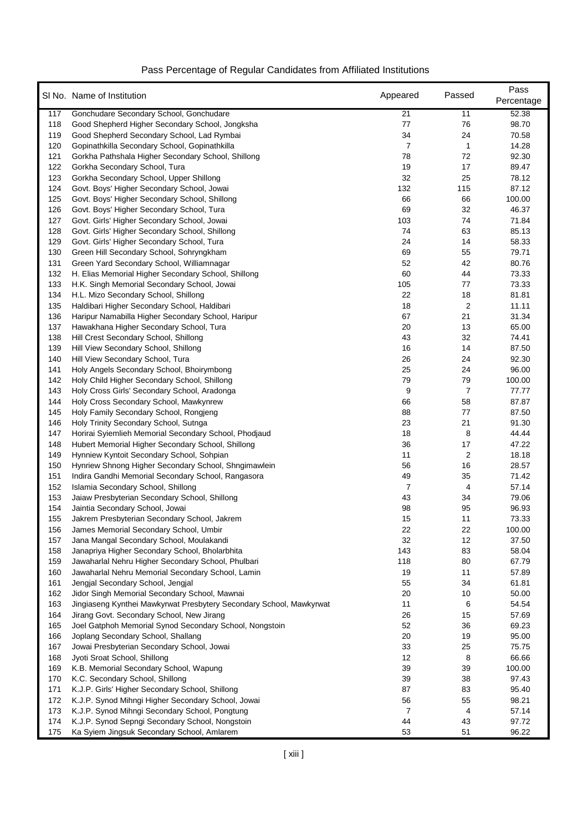|     | SI No. Name of Institution                                          | Appeared       | Passed                  | Pass<br>Percentage |
|-----|---------------------------------------------------------------------|----------------|-------------------------|--------------------|
| 117 | Gonchudare Secondary School, Gonchudare                             | 21             | 11                      | 52.38              |
| 118 | Good Shepherd Higher Secondary School, Jongksha                     | 77             | 76                      | 98.70              |
| 119 | Good Shepherd Secondary School, Lad Rymbai                          | 34             | 24                      | 70.58              |
| 120 | Gopinathkilla Secondary School, Gopinathkilla                       | $\overline{7}$ | 1                       | 14.28              |
| 121 | Gorkha Pathshala Higher Secondary School, Shillong                  | 78             | 72                      | 92.30              |
| 122 | Gorkha Secondary School, Tura                                       | 19             | 17                      | 89.47              |
| 123 | Gorkha Secondary School, Upper Shillong                             | 32             | 25                      | 78.12              |
| 124 | Govt. Boys' Higher Secondary School, Jowai                          | 132            | 115                     | 87.12              |
| 125 | Govt. Boys' Higher Secondary School, Shillong                       | 66             | 66                      | 100.00             |
| 126 | Govt. Boys' Higher Secondary School, Tura                           | 69             | 32                      | 46.37              |
| 127 | Govt. Girls' Higher Secondary School, Jowai                         | 103            | 74                      | 71.84              |
| 128 | Govt. Girls' Higher Secondary School, Shillong                      | 74             | 63                      | 85.13              |
| 129 | Govt. Girls' Higher Secondary School, Tura                          | 24             | 14                      | 58.33              |
| 130 | Green Hill Secondary School, Sohryngkham                            | 69             | 55                      | 79.71              |
| 131 | Green Yard Secondary School, Williamnagar                           | 52             | 42                      | 80.76              |
| 132 | H. Elias Memorial Higher Secondary School, Shillong                 | 60             | 44                      | 73.33              |
| 133 | H.K. Singh Memorial Secondary School, Jowai                         | 105            | 77                      | 73.33              |
| 134 | H.L. Mizo Secondary School, Shillong                                | 22             | 18                      | 81.81              |
| 135 | Haldibari Higher Secondary School, Haldibari                        | 18             | $\overline{\mathbf{c}}$ | 11.11              |
| 136 | Haripur Namabilla Higher Secondary School, Haripur                  | 67             | 21                      | 31.34              |
| 137 | Hawakhana Higher Secondary School, Tura                             | 20             | 13                      | 65.00              |
| 138 | Hill Crest Secondary School, Shillong                               | 43             | 32                      | 74.41              |
| 139 | Hill View Secondary School, Shillong                                | 16             | 14                      | 87.50              |
| 140 | Hill View Secondary School, Tura                                    | 26             | 24                      | 92.30              |
| 141 | Holy Angels Secondary School, Bhoirymbong                           | 25             | 24                      | 96.00              |
| 142 | Holy Child Higher Secondary School, Shillong                        | 79             | 79                      | 100.00             |
| 143 | Holy Cross Girls' Secondary School, Aradonga                        | 9              | 7                       | 77.77              |
| 144 | Holy Cross Secondary School, Mawkynrew                              | 66             | 58                      | 87.87              |
| 145 | Holy Family Secondary School, Rongjeng                              | 88             | 77                      | 87.50              |
| 146 | Holy Trinity Secondary School, Sutnga                               | 23             | 21                      | 91.30              |
| 147 | Horirai Syiemlieh Memorial Secondary School, Phodjaud               | 18             | 8                       | 44.44              |
| 148 | Hubert Memorial Higher Secondary School, Shillong                   | 36             | 17                      | 47.22              |
| 149 | Hynniew Kyntoit Secondary School, Sohpian                           | 11             | 2                       | 18.18              |
| 150 | Hynriew Shnong Higher Secondary School, Shngimawlein                | 56             | 16                      | 28.57              |
| 151 | Indira Gandhi Memorial Secondary School, Rangasora                  | 49             | 35                      | 71.42              |
| 152 | Islamia Secondary School, Shillong                                  | 7              | 4                       | 57.14              |
| 153 | Jaiaw Presbyterian Secondary School, Shillong                       | 43             | 34                      | 79.06              |
| 154 | Jaintia Secondary School, Jowai                                     | 98             | 95                      | 96.93              |
| 155 | Jakrem Presbyterian Secondary School, Jakrem                        | 15             | 11                      | 73.33              |
| 156 | James Memorial Secondary School, Umbir                              | 22             | 22                      | 100.00             |
| 157 | Jana Mangal Secondary School, Moulakandi                            | 32             | 12                      | 37.50              |
| 158 | Janapriya Higher Secondary School, Bholarbhita                      | 143            | 83                      | 58.04              |
| 159 | Jawaharlal Nehru Higher Secondary School, Phulbari                  | 118            | 80                      | 67.79              |
| 160 | Jawaharlal Nehru Memorial Secondary School, Lamin                   | 19             | 11                      | 57.89              |
| 161 | Jengjal Secondary School, Jengjal                                   | 55             | 34                      | 61.81              |
| 162 | Jidor Singh Memorial Secondary School, Mawnai                       | 20             | 10                      | 50.00              |
| 163 | Jingiaseng Kynthei Mawkyrwat Presbytery Secondary School, Mawkyrwat | 11             | 6                       | 54.54              |
| 164 | Jirang Govt. Secondary School, New Jirang                           | 26             | 15                      | 57.69              |
| 165 | Joel Gatphoh Memorial Synod Secondary School, Nongstoin             | 52             | 36                      | 69.23              |
| 166 | Joplang Secondary School, Shallang                                  | 20             | 19                      | 95.00              |
| 167 | Jowai Presbyterian Secondary School, Jowai                          | 33             | 25                      | 75.75              |
| 168 | Jyoti Sroat School, Shillong                                        | 12             | 8                       | 66.66              |
| 169 | K.B. Memorial Secondary School, Wapung                              | 39             | 39                      | 100.00             |
| 170 | K.C. Secondary School, Shillong                                     | 39             | 38                      | 97.43              |
| 171 | K.J.P. Girls' Higher Secondary School, Shillong                     | 87             | 83                      | 95.40              |
| 172 | K.J.P. Synod Mihngi Higher Secondary School, Jowai                  | 56             | 55                      | 98.21              |
| 173 | K.J.P. Synod Mihngi Secondary School, Pongtung                      | $\overline{7}$ | 4                       | 57.14              |
| 174 | K.J.P. Synod Sepngi Secondary School, Nongstoin                     | 44             | 43                      | 97.72              |
| 175 | Ka Syiem Jingsuk Secondary School, Amlarem                          | 53             | 51                      | 96.22              |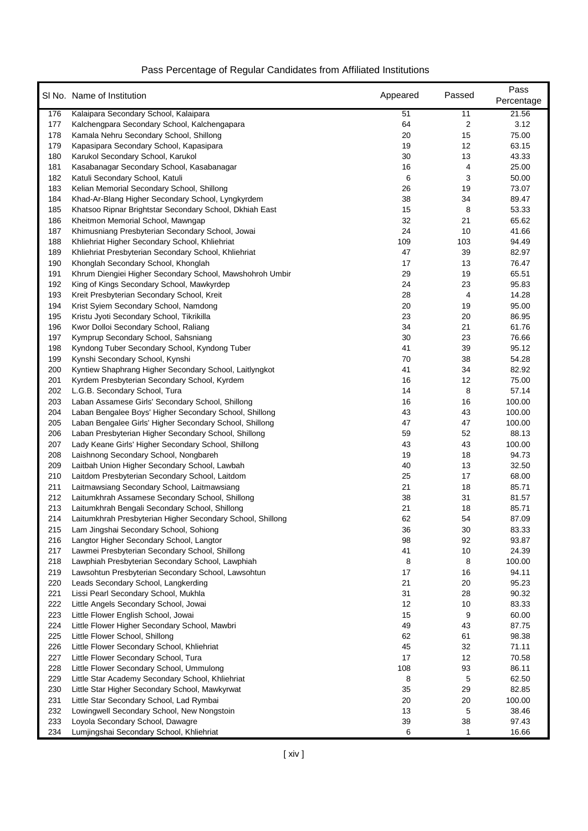|            | SI No. Name of Institution                                                                             | Appeared | Passed         | Pass<br>Percentage |
|------------|--------------------------------------------------------------------------------------------------------|----------|----------------|--------------------|
| 176        | Kalaipara Secondary School, Kalaipara                                                                  | 51       | 11             | 21.56              |
| 177        | Kalchengpara Secondary School, Kalchengapara                                                           | 64       | $\overline{c}$ | 3.12               |
| 178        | Kamala Nehru Secondary School, Shillong                                                                | 20       | 15             | 75.00              |
| 179        | Kapasipara Secondary School, Kapasipara                                                                | 19       | 12             | 63.15              |
| 180        | Karukol Secondary School, Karukol                                                                      | 30       | 13             | 43.33              |
| 181        | Kasabanagar Secondary School, Kasabanagar                                                              | 16       | 4              | 25.00              |
| 182        | Katuli Secondary School, Katuli                                                                        | 6        | 3              | 50.00              |
| 183        | Kelian Memorial Secondary School, Shillong                                                             | 26       | 19             | 73.07              |
| 184        | Khad-Ar-Blang Higher Secondary School, Lyngkyrdem                                                      | 38       | 34             | 89.47              |
| 185        | Khatsoo Ripnar Brightstar Secondary School, Dkhiah East                                                | 15       | 8              | 53.33              |
| 186        | Kheitmon Memorial School, Mawngap                                                                      | 32       | 21             | 65.62              |
| 187        | Khimusniang Presbyterian Secondary School, Jowai                                                       | 24       | 10             | 41.66              |
| 188        | Khliehriat Higher Secondary School, Khliehriat                                                         | 109      | 103            | 94.49              |
| 189        | Khliehriat Presbyterian Secondary School, Khliehriat                                                   | 47       | 39             | 82.97              |
| 190        | Khonglah Secondary School, Khonglah                                                                    | 17       | 13             | 76.47              |
| 191        | Khrum Diengiei Higher Secondary School, Mawshohroh Umbir                                               | 29       | 19             | 65.51              |
| 192        | King of Kings Secondary School, Mawkyrdep                                                              | 24       | 23             | 95.83              |
| 193        | Kreit Presbyterian Secondary School, Kreit                                                             | 28       | 4              | 14.28              |
| 194        | Krist Syiem Secondary School, Namdong                                                                  | 20       | 19             | 95.00              |
| 195        | Kristu Jyoti Secondary School, Tikrikilla                                                              | 23       | 20             | 86.95              |
| 196        | Kwor Dolloi Secondary School, Raliang                                                                  | 34       | 21             | 61.76              |
| 197        | Kymprup Secondary School, Sahsniang                                                                    | 30       | 23             | 76.66              |
| 198        | Kyndong Tuber Secondary School, Kyndong Tuber                                                          | 41       | 39             | 95.12              |
| 199        | Kynshi Secondary School, Kynshi                                                                        | 70       | 38             | 54.28              |
| 200        | Kyntiew Shaphrang Higher Secondary School, Laitlyngkot                                                 | 41       | 34             | 82.92              |
| 201        | Kyrdem Presbyterian Secondary School, Kyrdem                                                           | 16       | 12             | 75.00              |
| 202        | L.G.B. Secondary School, Tura                                                                          | 14       | 8              | 57.14              |
| 203        | Laban Assamese Girls' Secondary School, Shillong                                                       | 16       | 16             | 100.00             |
| 204        | Laban Bengalee Boys' Higher Secondary School, Shillong                                                 | 43       | 43             | 100.00             |
| 205        | Laban Bengalee Girls' Higher Secondary School, Shillong                                                | 47       | 47             | 100.00             |
| 206        | Laban Presbyterian Higher Secondary School, Shillong                                                   | 59       | 52             | 88.13              |
| 207        | Lady Keane Girls' Higher Secondary School, Shillong                                                    | 43       | 43             | 100.00             |
| 208        | Laishnong Secondary School, Nongbareh                                                                  | 19       | 18             | 94.73              |
| 209        | Laitbah Union Higher Secondary School, Lawbah                                                          | 40       | 13             | 32.50              |
| 210        | Laitdom Presbyterian Secondary School, Laitdom                                                         | 25       | 17             | 68.00              |
| 211        | Laitmawsiang Secondary School, Laitmawsiang                                                            | 21       | 18             | 85.71              |
| 212        | Laitumkhrah Assamese Secondary School, Shillong                                                        | 38       | 31             | 81.57              |
| 213        | Laitumkhrah Bengali Secondary School, Shillong                                                         | 21       | 18             | 85.71              |
| 214        | Laitumkhrah Presbyterian Higher Secondary School, Shillong                                             | 62       | 54             | 87.09              |
| 215        | Lam Jingshai Secondary School, Sohiong                                                                 | 36       | 30             | 83.33              |
| 216        | Langtor Higher Secondary School, Langtor                                                               | 98       | 92             | 93.87              |
| 217        | Lawmei Presbyterian Secondary School, Shillong                                                         | 41       | 10             | 24.39              |
| 218<br>219 | Lawphiah Presbyterian Secondary School, Lawphiah<br>Lawsohtun Presbyterian Secondary School, Lawsohtun | 8<br>17  | 8<br>16        | 100.00<br>94.11    |
| 220        | Leads Secondary School, Langkerding                                                                    | 21       | 20             | 95.23              |
| 221        | Lissi Pearl Secondary School, Mukhla                                                                   | 31       | 28             | 90.32              |
| 222        | Little Angels Secondary School, Jowai                                                                  | 12       | 10             | 83.33              |
| 223        | Little Flower English School, Jowai                                                                    | 15       | 9              | 60.00              |
| 224        | Little Flower Higher Secondary School, Mawbri                                                          | 49       | 43             | 87.75              |
| 225        | Little Flower School, Shillong                                                                         | 62       | 61             | 98.38              |
| 226        | Little Flower Secondary School, Khliehriat                                                             | 45       | 32             | 71.11              |
| 227        | Little Flower Secondary School, Tura                                                                   | 17       | 12             | 70.58              |
| 228        | Little Flower Secondary School, Ummulong                                                               | 108      | 93             | 86.11              |
| 229        | Little Star Academy Secondary School, Khliehriat                                                       | 8        | 5              | 62.50              |
| 230        | Little Star Higher Secondary School, Mawkyrwat                                                         | 35       | 29             | 82.85              |
| 231        | Little Star Secondary School, Lad Rymbai                                                               | 20       | 20             | 100.00             |
| 232        | Lowingwell Secondary School, New Nongstoin                                                             | 13       | 5              | 38.46              |
| 233        | Loyola Secondary School, Dawagre                                                                       | 39       | 38             | 97.43              |
| 234        | Lumjingshai Secondary School, Khliehriat                                                               | 6        | 1              | 16.66              |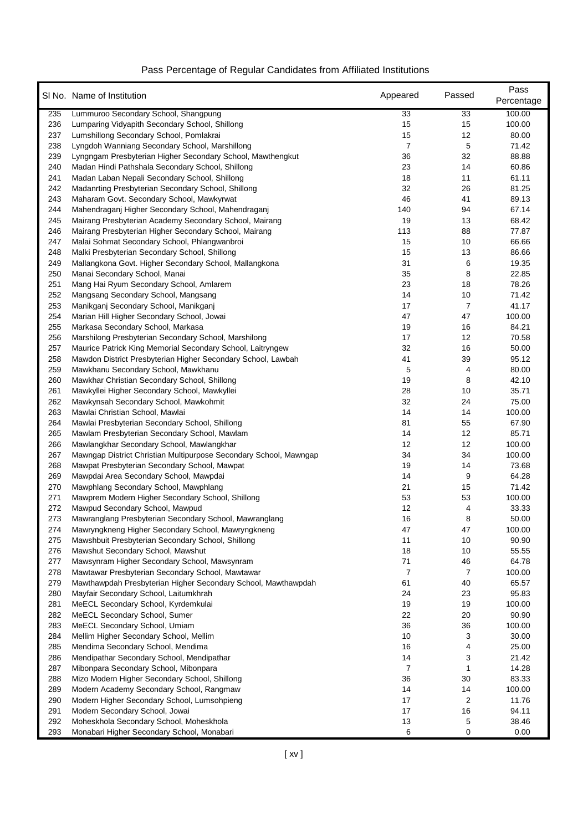|            | SI No. Name of Institution                                                                                     | Appeared | Passed   | Pass<br>Percentage |
|------------|----------------------------------------------------------------------------------------------------------------|----------|----------|--------------------|
| 235        | Lummuroo Secondary School, Shangpung                                                                           | 33       | 33       | 100.00             |
| 236        | Lumparing Vidyapith Secondary School, Shillong                                                                 | 15       | 15       | 100.00             |
| 237        | Lumshillong Secondary School, Pomlakrai                                                                        | 15       | 12       | 80.00              |
| 238        | Lyngdoh Wanniang Secondary School, Marshillong                                                                 | 7        | 5        | 71.42              |
| 239        | Lyngngam Presbyterian Higher Secondary School, Mawthengkut                                                     | 36       | 32       | 88.88              |
| 240        | Madan Hindi Pathshala Secondary School, Shillong                                                               | 23       | 14       | 60.86              |
| 241        | Madan Laban Nepali Secondary School, Shillong                                                                  | 18       | 11       | 61.11              |
| 242        | Madanrting Presbyterian Secondary School, Shillong                                                             | 32       | 26       | 81.25              |
| 243        | Maharam Govt. Secondary School, Mawkyrwat                                                                      | 46       | 41       | 89.13              |
| 244        | Mahendraganj Higher Secondary School, Mahendraganj                                                             | 140      | 94       | 67.14              |
| 245        | Mairang Presbyterian Academy Secondary School, Mairang                                                         | 19       | 13       | 68.42              |
| 246        | Mairang Presbyterian Higher Secondary School, Mairang                                                          | 113      | 88       | 77.87              |
| 247        | Malai Sohmat Secondary School, Phlangwanbroi                                                                   | 15       | 10       | 66.66              |
| 248        | Malki Presbyterian Secondary School, Shillong                                                                  | 15       | 13       | 86.66              |
| 249        | Mallangkona Govt. Higher Secondary School, Mallangkona                                                         | 31       | 6        | 19.35              |
| 250        | Manai Secondary School, Manai                                                                                  | 35       | 8        | 22.85              |
| 251        | Mang Hai Ryum Secondary School, Amlarem                                                                        | 23       | 18       | 78.26              |
| 252        | Mangsang Secondary School, Mangsang                                                                            | 14       | 10       | 71.42              |
| 253        | Manikganj Secondary School, Manikganj                                                                          | 17       | 7        | 41.17              |
| 254        | Marian Hill Higher Secondary School, Jowai                                                                     | 47       | 47       | 100.00             |
| 255        | Markasa Secondary School, Markasa                                                                              | 19       | 16       | 84.21              |
| 256        | Marshilong Presbyterian Secondary School, Marshilong                                                           | 17       | 12       | 70.58              |
| 257        | Maurice Patrick King Memorial Secondary School, Laitryngew                                                     | 32       | 16       | 50.00              |
| 258        | Mawdon District Presbyterian Higher Secondary School, Lawbah                                                   | 41       | 39       | 95.12              |
| 259        | Mawkhanu Secondary School, Mawkhanu                                                                            | 5        | 4        | 80.00              |
| 260        | Mawkhar Christian Secondary School, Shillong                                                                   | 19       | 8        | 42.10              |
| 261        | Mawkyllei Higher Secondary School, Mawkyllei                                                                   | 28       | 10       | 35.71              |
| 262        | Mawkynsah Secondary School, Mawkohmit                                                                          | 32       | 24       | 75.00              |
| 263        | Mawlai Christian School, Mawlai                                                                                | 14       | 14       | 100.00             |
| 264        | Mawlai Presbyterian Secondary School, Shillong                                                                 | 81       | 55       | 67.90              |
| 265<br>266 | Mawlam Presbyterian Secondary School, Mawlam                                                                   | 14<br>12 | 12<br>12 | 85.71<br>100.00    |
| 267        | Mawlangkhar Secondary School, Mawlangkhar<br>Mawngap District Christian Multipurpose Secondary School, Mawngap | 34       | 34       | 100.00             |
| 268        | Mawpat Presbyterian Secondary School, Mawpat                                                                   | 19       | 14       | 73.68              |
| 269        | Mawpdai Area Secondary School, Mawpdai                                                                         | 14       | 9        | 64.28              |
| 270        | Mawphlang Secondary School, Mawphlang                                                                          | 21       | 15       | 71.42              |
| 271        | Mawprem Modern Higher Secondary School, Shillong                                                               | 53       | 53       | 100.00             |
| 272        | Mawpud Secondary School, Mawpud                                                                                | 12       | 4        | 33.33              |
| 273        | Mawranglang Presbyterian Secondary School, Mawranglang                                                         | 16       | 8        | 50.00              |
| 274        | Mawryngkneng Higher Secondary School, Mawryngkneng                                                             | 47       | 47       | 100.00             |
| 275        | Mawshbuit Presbyterian Secondary School, Shillong                                                              | 11       | 10       | 90.90              |
| 276        | Mawshut Secondary School, Mawshut                                                                              | 18       | 10       | 55.55              |
| 277        | Mawsynram Higher Secondary School, Mawsynram                                                                   | 71       | 46       | 64.78              |
| 278        | Mawtawar Presbyterian Secondary School, Mawtawar                                                               | 7        | 7        | 100.00             |
| 279        | Mawthawpdah Presbyterian Higher Secondary School, Mawthawpdah                                                  | 61       | 40       | 65.57              |
| 280        | Mayfair Secondary School, Laitumkhrah                                                                          | 24       | 23       | 95.83              |
| 281        | MeECL Secondary School, Kyrdemkulai                                                                            | 19       | 19       | 100.00             |
| 282        | MeECL Secondary School, Sumer                                                                                  | 22       | 20       | 90.90              |
| 283        | MeECL Secondary School, Umiam                                                                                  | 36       | 36       | 100.00             |
| 284        | Mellim Higher Secondary School, Mellim                                                                         | $10$     | 3        | 30.00              |
| 285        | Mendima Secondary School, Mendima                                                                              | 16       | 4        | 25.00              |
| 286        | Mendipathar Secondary School, Mendipathar                                                                      | 14       | 3        | 21.42              |
| 287        | Mibonpara Secondary School, Mibonpara                                                                          | 7        | 1        | 14.28              |
| 288        | Mizo Modern Higher Secondary School, Shillong                                                                  | 36       | 30       | 83.33              |
| 289        | Modern Academy Secondary School, Rangmaw                                                                       | 14       | 14       | 100.00             |
| 290        | Modern Higher Secondary School, Lumsohpieng                                                                    | 17       | 2        | 11.76              |
| 291        | Modern Secondary School, Jowai                                                                                 | 17       | 16       | 94.11              |
| 292        | Moheskhola Secondary School, Moheskhola                                                                        | 13       | 5        | 38.46              |
| 293        | Monabari Higher Secondary School, Monabari                                                                     | 6        | 0        | 0.00               |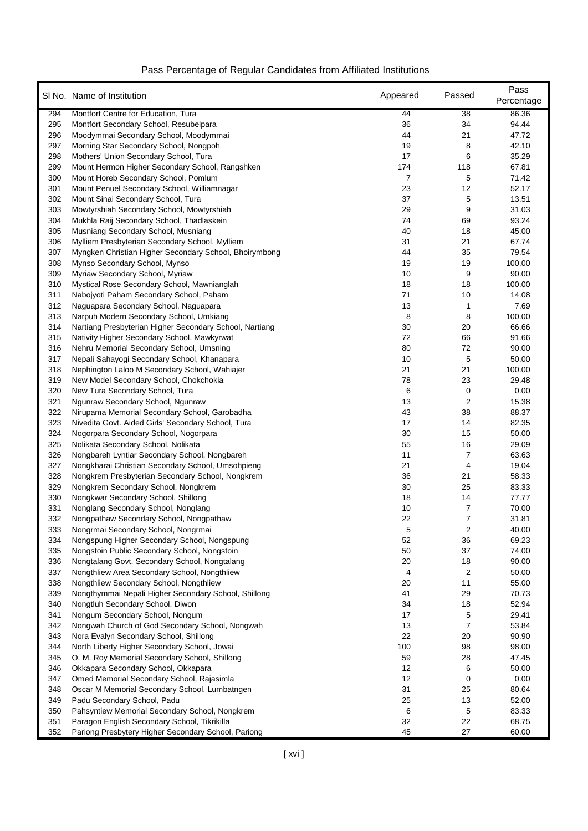|            | SI No. Name of Institution                                          | Appeared | Passed         | Pass<br>Percentage |
|------------|---------------------------------------------------------------------|----------|----------------|--------------------|
| 294        | Montfort Centre for Education, Tura                                 | 44       | 38             | 86.36              |
| 295        | Montfort Secondary School, Resubelpara                              | 36       | 34             | 94.44              |
| 296        | Moodymmai Secondary School, Moodymmai                               | 44       | 21             | 47.72              |
| 297        | Morning Star Secondary School, Nongpoh                              | 19       | 8              | 42.10              |
| 298        | Mothers' Union Secondary School, Tura                               | 17       | 6              | 35.29              |
| 299        | Mount Hermon Higher Secondary School, Rangshken                     | 174      | 118            | 67.81              |
| 300        | Mount Horeb Secondary School, Pomlum                                | 7        | 5              | 71.42              |
| 301        | Mount Penuel Secondary School, Williamnagar                         | 23       | 12             | 52.17              |
| 302        | Mount Sinai Secondary School, Tura                                  | 37       | 5              | 13.51              |
| 303        | Mowtyrshiah Secondary School, Mowtyrshiah                           | 29       | 9              | 31.03              |
| 304        | Mukhla Raij Secondary School, Thadlaskein                           | 74       | 69             | 93.24              |
| 305        | Musniang Secondary School, Musniang                                 | 40       | 18             | 45.00              |
| 306        | Mylliem Presbyterian Secondary School, Mylliem                      | 31       | 21             | 67.74              |
| 307        | Myngken Christian Higher Secondary School, Bhoirymbong              | 44       | 35             | 79.54              |
| 308        | Mynso Secondary School, Mynso                                       | 19       | 19             | 100.00             |
| 309        | Myriaw Secondary School, Myriaw                                     | 10       | 9              | 90.00              |
| 310        | Mystical Rose Secondary School, Mawnianglah                         | 18       | 18             | 100.00             |
| 311        | Nabojyoti Paham Secondary School, Paham                             | 71       | 10             | 14.08              |
| 312        | Naguapara Secondary School, Naguapara                               | 13       | 1              | 7.69               |
| 313        | Narpuh Modern Secondary School, Umkiang                             | 8        | 8              | 100.00             |
| 314        | Nartiang Presbyterian Higher Secondary School, Nartiang             | 30       | 20             | 66.66              |
| 315        | Nativity Higher Secondary School, Mawkyrwat                         | 72       | 66             | 91.66              |
| 316        | Nehru Memorial Secondary School, Umsning                            | 80       | 72             | 90.00              |
| 317        | Nepali Sahayogi Secondary School, Khanapara                         | 10       | 5              | 50.00              |
| 318        | Nephington Laloo M Secondary School, Wahiajer                       | 21       | 21             | 100.00             |
| 319        | New Model Secondary School, Chokchokia                              | 78       | 23             | 29.48              |
| 320        | New Tura Secondary School, Tura                                     | 6        | 0              | 0.00               |
| 321        | Ngunraw Secondary School, Ngunraw                                   | 13       | 2              | 15.38              |
| 322        | Nirupama Memorial Secondary School, Garobadha                       | 43       | 38             | 88.37              |
| 323        | Nivedita Govt. Aided Girls' Secondary School, Tura                  | 17       | 14             | 82.35              |
| 324        | Nogorpara Secondary School, Nogorpara                               | 30       | 15             | 50.00              |
| 325        | Nolikata Secondary School, Nolikata                                 | 55       | 16             | 29.09              |
| 326        | Nongbareh Lyntiar Secondary School, Nongbareh                       | 11       | 7              | 63.63              |
| 327        | Nongkharai Christian Secondary School, Umsohpieng                   | 21       | 4              | 19.04              |
| 328        | Nongkrem Presbyterian Secondary School, Nongkrem                    | 36       | 21             | 58.33              |
| 329        | Nongkrem Secondary School, Nongkrem                                 | 30       | 25             | 83.33              |
| 330        | Nongkwar Secondary School, Shillong                                 | 18       | 14             | 77.77              |
| 331        | Nonglang Secondary School, Nonglang                                 | 10       | 7              | 70.00              |
| 332        | Nongpathaw Secondary School, Nongpathaw                             | 22       | $\overline{7}$ | 31.81              |
| 333        | Nongrmai Secondary School, Nongrmai                                 | 5        | 2              | 40.00              |
| 334        | Nongspung Higher Secondary School, Nongspung                        | 52       | 36             | 69.23              |
| 335        | Nongstoin Public Secondary School, Nongstoin                        | 50       | 37             | 74.00              |
| 336        | Nongtalang Govt. Secondary School, Nongtalang                       | 20       | 18             | 90.00              |
| 337        | Nongthliew Area Secondary School, Nongthliew                        | 4        | 2              | 50.00              |
| 338        | Nongthliew Secondary School, Nongthliew                             | 20       | 11             | 55.00              |
| 339        | Nongthymmai Nepali Higher Secondary School, Shillong                | 41       | 29             | 70.73              |
| 340<br>341 | Nongtluh Secondary School, Diwon<br>Nongum Secondary School, Nongum | 34<br>17 | 18             | 52.94<br>29.41     |
| 342        | Nongwah Church of God Secondary School, Nongwah                     | 13       | 5<br>7         | 53.84              |
| 343        | Nora Evalyn Secondary School, Shillong                              | 22       | 20             | 90.90              |
| 344        | North Liberty Higher Secondary School, Jowai                        | 100      | 98             | 98.00              |
| 345        | O. M. Roy Memorial Secondary School, Shillong                       | 59       | 28             | 47.45              |
| 346        | Okkapara Secondary School, Okkapara                                 | 12       | 6              | 50.00              |
| 347        | Omed Memorial Secondary School, Rajasimla                           | 12       | 0              | 0.00               |
| 348        | Oscar M Memorial Secondary School, Lumbatngen                       | 31       | 25             | 80.64              |
| 349        | Padu Secondary School, Padu                                         | 25       | 13             | 52.00              |
| 350        | Pahsyntiew Memorial Secondary School, Nongkrem                      | 6        | 5              | 83.33              |
| 351        | Paragon English Secondary School, Tikrikilla                        | 32       | 22             | 68.75              |
| 352        | Pariong Presbytery Higher Secondary School, Pariong                 | 45       | 27             | 60.00              |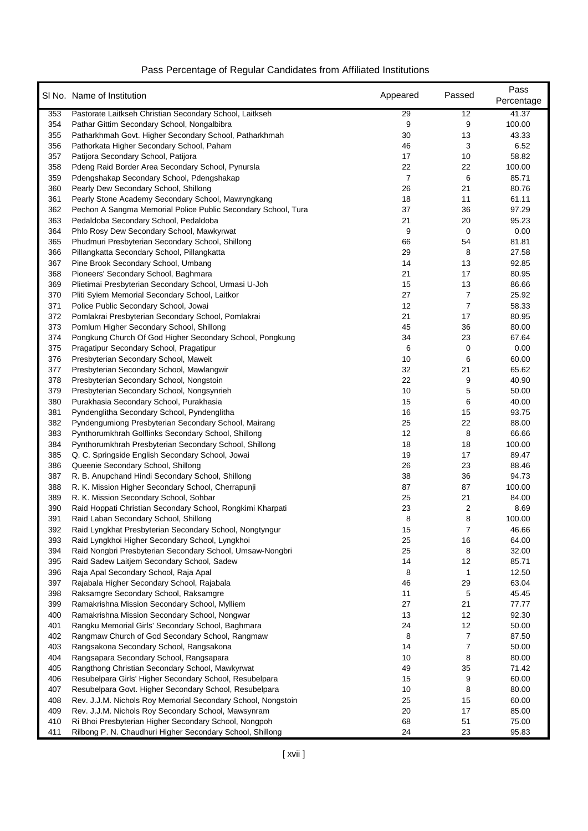|            | SI No. Name of Institution                                                             | Appeared | Passed         | Pass<br>Percentage |
|------------|----------------------------------------------------------------------------------------|----------|----------------|--------------------|
| 353        | Pastorate Laitkseh Christian Secondary School, Laitkseh                                | 29       | 12             | 41.37              |
| 354        | Pathar Gittim Secondary School, Nongalbibra                                            | 9        | 9              | 100.00             |
| 355        | Patharkhmah Govt. Higher Secondary School, Patharkhmah                                 | 30       | 13             | 43.33              |
| 356        | Pathorkata Higher Secondary School, Paham                                              | 46       | 3              | 6.52               |
| 357        | Patijora Secondary School, Patijora                                                    | 17       | 10             | 58.82              |
| 358        | Pdeng Raid Border Area Secondary School, Pynursla                                      | 22       | 22             | 100.00             |
| 359        | Pdengshakap Secondary School, Pdengshakap                                              | 7        | 6              | 85.71              |
| 360        | Pearly Dew Secondary School, Shillong                                                  | 26       | 21             | 80.76              |
| 361        | Pearly Stone Academy Secondary School, Mawryngkang                                     | 18       | 11             | 61.11              |
| 362        | Pechon A Sangma Memorial Police Public Secondary School, Tura                          | 37       | 36             | 97.29              |
| 363        | Pedaldoba Secondary School, Pedaldoba                                                  | 21       | 20             | 95.23              |
| 364        | Phlo Rosy Dew Secondary School, Mawkyrwat                                              | 9        | 0              | 0.00               |
| 365        | Phudmuri Presbyterian Secondary School, Shillong                                       | 66       | 54             | 81.81              |
| 366        | Pillangkatta Secondary School, Pillangkatta                                            | 29       | 8              | 27.58              |
| 367        | Pine Brook Secondary School, Umbang                                                    | 14       | 13             | 92.85              |
| 368        | Pioneers' Secondary School, Baghmara                                                   | 21       | 17             | 80.95              |
| 369        | Plietimai Presbyterian Secondary School, Urmasi U-Joh                                  | 15       | 13             | 86.66              |
| 370        | Pliti Syiem Memorial Secondary School, Laitkor                                         | 27       | 7              | 25.92              |
| 371        | Police Public Secondary School, Jowai                                                  | 12       | $\overline{7}$ | 58.33              |
| 372        | Pomlakrai Presbyterian Secondary School, Pomlakrai                                     | 21       | 17             | 80.95              |
| 373        | Pomlum Higher Secondary School, Shillong                                               | 45       | 36             | 80.00              |
| 374        | Pongkung Church Of God Higher Secondary School, Pongkung                               | 34       | 23             | 67.64              |
| 375        | Pragatipur Secondary School, Pragatipur                                                | 6        | 0              | 0.00               |
| 376        | Presbyterian Secondary School, Maweit                                                  | 10       | 6              | 60.00              |
| 377        | Presbyterian Secondary School, Mawlangwir                                              | 32       | 21             | 65.62              |
| 378        | Presbyterian Secondary School, Nongstoin                                               | 22       | 9              | 40.90              |
| 379<br>380 | Presbyterian Secondary School, Nongsynrieh                                             | 10<br>15 | 5<br>6         | 50.00<br>40.00     |
| 381        | Purakhasia Secondary School, Purakhasia<br>Pyndenglitha Secondary School, Pyndenglitha | 16       | 15             | 93.75              |
| 382        | Pyndengumiong Presbyterian Secondary School, Mairang                                   | 25       | 22             | 88.00              |
| 383        | Pynthorumkhrah Golflinks Secondary School, Shillong                                    | 12       | 8              | 66.66              |
| 384        | Pynthorumkhrah Presbyterian Secondary School, Shillong                                 | 18       | 18             | 100.00             |
| 385        | Q. C. Springside English Secondary School, Jowai                                       | 19       | 17             | 89.47              |
| 386        | Queenie Secondary School, Shillong                                                     | 26       | 23             | 88.46              |
| 387        | R. B. Anupchand Hindi Secondary School, Shillong                                       | 38       | 36             | 94.73              |
| 388        | R. K. Mission Higher Secondary School, Cherrapunji                                     | 87       | 87             | 100.00             |
| 389        | R. K. Mission Secondary School, Sohbar                                                 | 25       | 21             | 84.00              |
| 390        | Raid Hoppati Christian Secondary School, Rongkimi Kharpati                             | 23       | 2              | 8.69               |
| 391        | Raid Laban Secondary School, Shillong                                                  | 8        | 8              | 100.00             |
| 392        | Raid Lyngkhat Presbyterian Secondary School, Nongtyngur                                | 15       | $\overline{7}$ | 46.66              |
| 393        | Raid Lyngkhoi Higher Secondary School, Lyngkhoi                                        | 25       | $16\,$         | 64.00              |
| 394        | Raid Nongbri Presbyterian Secondary School, Umsaw-Nongbri                              | 25       | 8              | 32.00              |
| 395        | Raid Sadew Laitjem Secondary School, Sadew                                             | 14       | 12             | 85.71              |
| 396        | Raja Apal Secondary School, Raja Apal                                                  | 8        | 1              | 12.50              |
| 397        | Rajabala Higher Secondary School, Rajabala                                             | 46       | 29             | 63.04              |
| 398        | Raksamgre Secondary School, Raksamgre                                                  | 11       | 5              | 45.45              |
| 399        | Ramakrishna Mission Secondary School, Mylliem                                          | 27       | 21             | 77.77              |
| 400        | Ramakrishna Mission Secondary School, Nongwar                                          | 13       | 12             | 92.30              |
| 401        | Rangku Memorial Girls' Secondary School, Baghmara                                      | 24       | 12             | 50.00              |
| 402        | Rangmaw Church of God Secondary School, Rangmaw                                        | 8        | $\overline{7}$ | 87.50              |
| 403        | Rangsakona Secondary School, Rangsakona                                                | 14       | 7              | 50.00              |
| 404        | Rangsapara Secondary School, Rangsapara                                                | 10       | 8              | 80.00              |
| 405        | Rangthong Christian Secondary School, Mawkyrwat                                        | 49       | 35             | 71.42              |
| 406        | Resubelpara Girls' Higher Secondary School, Resubelpara                                | 15       | 9              | 60.00              |
| 407        | Resubelpara Govt. Higher Secondary School, Resubelpara                                 | 10       | 8              | 80.00              |
| 408        | Rev. J.J.M. Nichols Roy Memorial Secondary School, Nongstoin                           | 25       | 15             | 60.00              |
| 409        | Rev. J.J.M. Nichols Roy Secondary School, Mawsynram                                    | 20       | 17             | 85.00              |
| 410        | Ri Bhoi Presbyterian Higher Secondary School, Nongpoh                                  | 68       | 51             | 75.00              |
| 411        | Rilbong P. N. Chaudhuri Higher Secondary School, Shillong                              | 24       | 23             | 95.83              |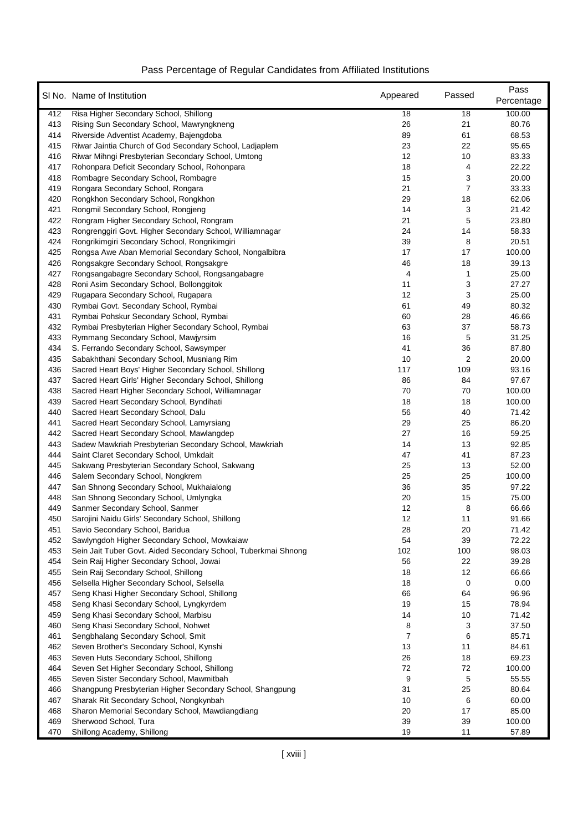|            | SI No. Name of Institution                                                                     | Appeared | Passed   | Pass<br>Percentage |
|------------|------------------------------------------------------------------------------------------------|----------|----------|--------------------|
| 412        | Risa Higher Secondary School, Shillong                                                         | 18       | 18       | 100.00             |
| 413        | Rising Sun Secondary School, Mawryngkneng                                                      | 26       | 21       | 80.76              |
| 414        | Riverside Adventist Academy, Bajengdoba                                                        | 89       | 61       | 68.53              |
| 415        | Riwar Jaintia Church of God Secondary School, Ladiaplem                                        | 23       | 22       | 95.65              |
| 416        | Riwar Mihngi Presbyterian Secondary School, Umtong                                             | 12       | 10       | 83.33              |
| 417        | Rohonpara Deficit Secondary School, Rohonpara                                                  | 18       | 4        | 22.22              |
| 418        | Rombagre Secondary School, Rombagre                                                            | 15       | 3        | 20.00              |
| 419        | Rongara Secondary School, Rongara                                                              | 21       | 7        | 33.33              |
| 420        | Rongkhon Secondary School, Rongkhon                                                            | 29       | 18       | 62.06              |
| 421        | Rongmil Secondary School, Rongjeng                                                             | 14       | 3        | 21.42              |
| 422        | Rongram Higher Secondary School, Rongram                                                       | 21       | 5        | 23.80              |
| 423        | Rongrenggiri Govt. Higher Secondary School, Williamnagar                                       | 24       | 14       | 58.33              |
| 424        | Rongrikimgiri Secondary School, Rongrikimgiri                                                  | 39       | 8        | 20.51              |
| 425        | Rongsa Awe Aban Memorial Secondary School, Nongalbibra                                         | 17       | 17       | 100.00             |
| 426        | Rongsakgre Secondary School, Rongsakgre                                                        | 46       | 18       | 39.13              |
| 427        | Rongsangabagre Secondary School, Rongsangabagre                                                | 4        | 1        | 25.00              |
| 428        | Roni Asim Secondary School, Bollonggitok                                                       | 11       | 3        | 27.27              |
| 429        | Rugapara Secondary School, Rugapara                                                            | 12       | 3        | 25.00              |
| 430        | Rymbai Govt. Secondary School, Rymbai                                                          | 61       | 49       | 80.32              |
| 431        | Rymbai Pohskur Secondary School, Rymbai                                                        | 60       | 28       | 46.66              |
| 432        | Rymbai Presbyterian Higher Secondary School, Rymbai                                            | 63       | 37       | 58.73              |
| 433        | Rymmang Secondary School, Mawjyrsim                                                            | 16       | 5        | 31.25              |
| 434        | S. Ferrando Secondary School, Sawsymper                                                        | 41       | 36       | 87.80              |
| 435        | Sabakhthani Secondary School, Musniang Rim                                                     | 10       | 2        | 20.00              |
| 436        | Sacred Heart Boys' Higher Secondary School, Shillong                                           | 117      | 109      | 93.16              |
| 437<br>438 | Sacred Heart Girls' Higher Secondary School, Shillong                                          | 86<br>70 | 84<br>70 | 97.67<br>100.00    |
| 439        | Sacred Heart Higher Secondary School, Williamnagar<br>Sacred Heart Secondary School, Byndihati | 18       | 18       | 100.00             |
| 440        | Sacred Heart Secondary School, Dalu                                                            | 56       | 40       | 71.42              |
| 441        | Sacred Heart Secondary School, Lamyrsiang                                                      | 29       | 25       | 86.20              |
| 442        | Sacred Heart Secondary School, Mawlangdep                                                      | 27       | 16       | 59.25              |
| 443        | Sadew Mawkriah Presbyterian Secondary School, Mawkriah                                         | 14       | 13       | 92.85              |
| 444        | Saint Claret Secondary School, Umkdait                                                         | 47       | 41       | 87.23              |
| 445        | Sakwang Presbyterian Secondary School, Sakwang                                                 | 25       | 13       | 52.00              |
| 446        | Salem Secondary School, Nongkrem                                                               | 25       | 25       | 100.00             |
| 447        | San Shnong Secondary School, Mukhaialong                                                       | 36       | 35       | 97.22              |
| 448        | San Shnong Secondary School, Umlyngka                                                          | 20       | 15       | 75.00              |
| 449        | Sanmer Secondary School, Sanmer                                                                | 12       | 8        | 66.66              |
| 450        | Sarojini Naidu Girls' Secondary School, Shillong                                               | 12       | 11       | 91.66              |
| 451        | Savio Secondary School, Baridua                                                                | 28       | 20       | 71.42              |
| 452        | Sawlyngdoh Higher Secondary School, Mowkaiaw                                                   | 54       | 39       | 72.22              |
| 453        | Sein Jait Tuber Govt. Aided Secondary School, Tuberkmai Shnong                                 | 102      | 100      | 98.03              |
| 454        | Sein Raij Higher Secondary School, Jowai                                                       | 56       | 22       | 39.28              |
| 455        | Sein Raij Secondary School, Shillong                                                           | 18       | 12       | 66.66              |
| 456        | Selsella Higher Secondary School, Selsella                                                     | 18       | 0        | 0.00               |
| 457        | Seng Khasi Higher Secondary School, Shillong                                                   | 66       | 64       | 96.96              |
| 458        | Seng Khasi Secondary School, Lyngkyrdem                                                        | 19       | 15       | 78.94              |
| 459        | Seng Khasi Secondary School, Marbisu                                                           | 14       | 10       | 71.42              |
| 460        | Seng Khasi Secondary School, Nohwet                                                            | 8        | 3        | 37.50              |
| 461        | Sengbhalang Secondary School, Smit                                                             | 7        | 6        | 85.71              |
| 462        | Seven Brother's Secondary School, Kynshi                                                       | 13       | 11       | 84.61              |
| 463        | Seven Huts Secondary School, Shillong                                                          | 26       | 18       | 69.23              |
| 464        | Seven Set Higher Secondary School, Shillong                                                    | 72       | 72       | 100.00             |
| 465        | Seven Sister Secondary School, Mawmitbah                                                       | 9        | 5        | 55.55              |
| 466        | Shangpung Presbyterian Higher Secondary School, Shangpung                                      | 31       | 25       | 80.64              |
| 467        | Sharak Rit Secondary School, Nongkynbah                                                        | 10       | 6        | 60.00              |
| 468        | Sharon Memorial Secondary School, Mawdiangdiang                                                | 20       | 17       | 85.00              |
| 469<br>470 | Sherwood School, Tura                                                                          | 39<br>19 | 39<br>11 | 100.00<br>57.89    |
|            | Shillong Academy, Shillong                                                                     |          |          |                    |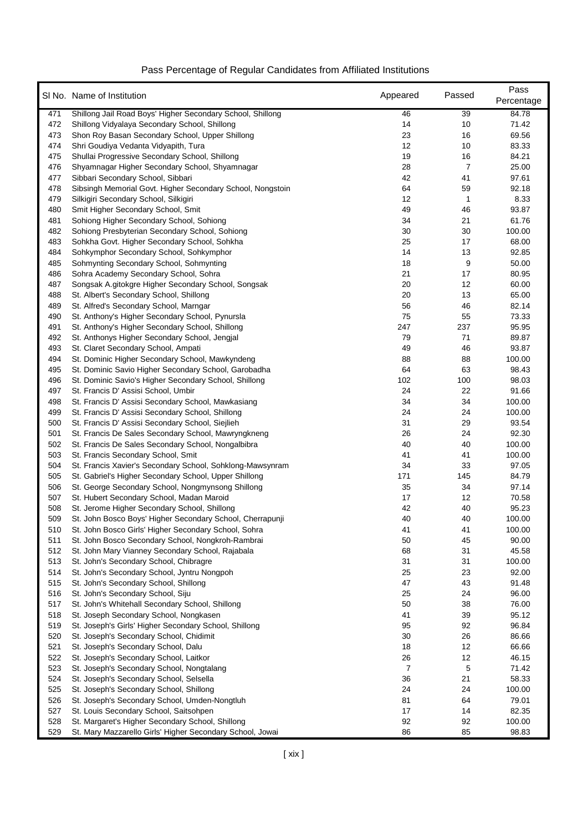|            | SI No. Name of Institution                                                                                | Appeared | Passed         | Pass<br>Percentage |
|------------|-----------------------------------------------------------------------------------------------------------|----------|----------------|--------------------|
| 471        | Shillong Jail Road Boys' Higher Secondary School, Shillong                                                | 46       | 39             | 84.78              |
| 472        | Shillong Vidyalaya Secondary School, Shillong                                                             | 14       | 10             | 71.42              |
| 473        | Shon Roy Basan Secondary School, Upper Shillong                                                           | 23       | 16             | 69.56              |
| 474        | Shri Goudiya Vedanta Vidyapith, Tura                                                                      | 12       | 10             | 83.33              |
| 475        | Shullai Progressive Secondary School, Shillong                                                            | 19       | 16             | 84.21              |
| 476        | Shyamnagar Higher Secondary School, Shyamnagar                                                            | 28       | $\overline{7}$ | 25.00              |
| 477        | Sibbari Secondary School, Sibbari                                                                         | 42       | 41             | 97.61              |
| 478        | Sibsingh Memorial Govt. Higher Secondary School, Nongstoin                                                | 64       | 59             | 92.18              |
| 479        | Silkigiri Secondary School, Silkigiri                                                                     | 12       | 1              | 8.33               |
| 480        | Smit Higher Secondary School, Smit                                                                        | 49       | 46             | 93.87              |
| 481        | Sohiong Higher Secondary School, Sohiong                                                                  | 34       | 21             | 61.76              |
| 482        | Sohiong Presbyterian Secondary School, Sohiong                                                            | 30       | 30             | 100.00             |
| 483        | Sohkha Govt. Higher Secondary School, Sohkha                                                              | 25       | 17             | 68.00              |
| 484        | Sohkymphor Secondary School, Sohkymphor                                                                   | 14       | 13             | 92.85              |
| 485        | Sohmynting Secondary School, Sohmynting                                                                   | 18       | 9              | 50.00              |
| 486        | Sohra Academy Secondary School, Sohra                                                                     | 21       | 17             | 80.95              |
| 487        | Songsak A.gitokgre Higher Secondary School, Songsak                                                       | 20       | 12             | 60.00              |
| 488        | St. Albert's Secondary School, Shillong                                                                   | 20       | 13             | 65.00              |
| 489        | St. Alfred's Secondary School, Marngar                                                                    | 56       | 46             | 82.14              |
| 490        | St. Anthony's Higher Secondary School, Pynursla                                                           | 75       | 55             | 73.33              |
| 491        | St. Anthony's Higher Secondary School, Shillong                                                           | 247      | 237            | 95.95              |
| 492        | St. Anthonys Higher Secondary School, Jengjal                                                             | 79       | 71             | 89.87              |
| 493        | St. Claret Secondary School, Ampati                                                                       | 49       | 46             | 93.87              |
| 494        | St. Dominic Higher Secondary School, Mawkyndeng                                                           | 88       | 88             | 100.00             |
| 495        | St. Dominic Savio Higher Secondary School, Garobadha                                                      | 64       | 63             | 98.43              |
| 496        | St. Dominic Savio's Higher Secondary School, Shillong                                                     | 102      | 100            | 98.03              |
| 497        | St. Francis D' Assisi School, Umbir                                                                       | 24       | 22             | 91.66              |
| 498        | St. Francis D' Assisi Secondary School, Mawkasiang                                                        | 34       | 34             | 100.00             |
| 499        | St. Francis D' Assisi Secondary School, Shillong                                                          | 24       | 24             | 100.00             |
| 500<br>501 | St. Francis D' Assisi Secondary School, Siejlieh                                                          | 31<br>26 | 29<br>24       | 93.54<br>92.30     |
| 502        | St. Francis De Sales Secondary School, Mawryngkneng<br>St. Francis De Sales Secondary School, Nongalbibra | 40       | 40             | 100.00             |
| 503        | St. Francis Secondary School, Smit                                                                        | 41       | 41             | 100.00             |
| 504        | St. Francis Xavier's Secondary School, Sohklong-Mawsynram                                                 | 34       | 33             | 97.05              |
| 505        | St. Gabriel's Higher Secondary School, Upper Shillong                                                     | 171      | 145            | 84.79              |
| 506        | St. George Secondary School, Nongmynsong Shillong                                                         | 35       | 34             | 97.14              |
| 507        | St. Hubert Secondary School, Madan Maroid                                                                 | 17       | 12             | 70.58              |
| 508        | St. Jerome Higher Secondary School, Shillong                                                              | 42       | 40             | 95.23              |
| 509        | St. John Bosco Boys' Higher Secondary School, Cherrapunji                                                 | 40       | 40             | 100.00             |
| 510        | St. John Bosco Girls' Higher Secondary School, Sohra                                                      | 41       | 41             | 100.00             |
| 511        | St. John Bosco Secondary School, Nongkroh-Rambrai                                                         | 50       | 45             | 90.00              |
| 512        | St. John Mary Vianney Secondary School, Rajabala                                                          | 68       | 31             | 45.58              |
| 513        | St. John's Secondary School, Chibragre                                                                    | 31       | 31             | 100.00             |
| 514        | St. John's Secondary School, Jyntru Nongpoh                                                               | 25       | 23             | 92.00              |
| 515        | St. John's Secondary School, Shillong                                                                     | 47       | 43             | 91.48              |
| 516        | St. John's Secondary School, Siju                                                                         | 25       | 24             | 96.00              |
| 517        | St. John's Whitehall Secondary School, Shillong                                                           | 50       | 38             | 76.00              |
| 518        | St. Joseph Secondary School, Nongkasen                                                                    | 41       | 39             | 95.12              |
| 519        | St. Joseph's Girls' Higher Secondary School, Shillong                                                     | 95       | 92             | 96.84              |
| 520        | St. Joseph's Secondary School, Chidimit                                                                   | 30       | 26             | 86.66              |
| 521        | St. Joseph's Secondary School, Dalu                                                                       | 18       | 12             | 66.66              |
| 522        | St. Joseph's Secondary School, Laitkor                                                                    | 26       | 12             | 46.15              |
| 523        | St. Joseph's Secondary School, Nongtalang                                                                 | 7        | 5              | 71.42              |
| 524        | St. Joseph's Secondary School, Selsella                                                                   | 36       | 21             | 58.33              |
| 525        | St. Joseph's Secondary School, Shillong                                                                   | 24       | 24             | 100.00             |
| 526        | St. Joseph's Secondary School, Umden-Nongtluh                                                             | 81       | 64             | 79.01              |
| 527        | St. Louis Secondary School, Saitsohpen                                                                    | 17       | 14             | 82.35              |
| 528        | St. Margaret's Higher Secondary School, Shillong                                                          | 92       | 92             | 100.00             |
| 529        | St. Mary Mazzarello Girls' Higher Secondary School, Jowai                                                 | 86       | 85             | 98.83              |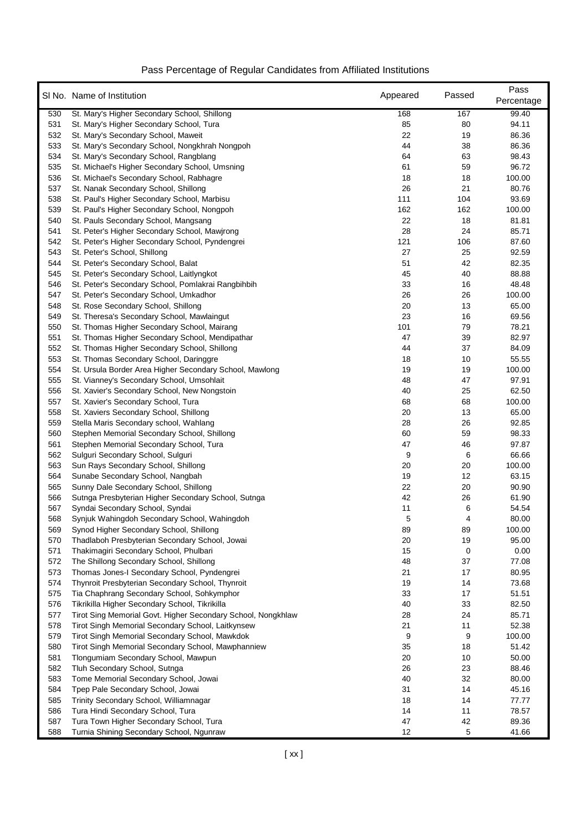|            | SI No. Name of Institution                                                   | Appeared | Passed  | Pass<br>Percentage |
|------------|------------------------------------------------------------------------------|----------|---------|--------------------|
| 530        | St. Mary's Higher Secondary School, Shillong                                 | 168      | 167     | 99.40              |
| 531        | St. Mary's Higher Secondary School, Tura                                     | 85       | 80      | 94.11              |
| 532        | St. Mary's Secondary School, Maweit                                          | 22       | 19      | 86.36              |
| 533        | St. Mary's Secondary School, Nongkhrah Nongpoh                               | 44       | 38      | 86.36              |
| 534        | St. Mary's Secondary School, Rangblang                                       | 64       | 63      | 98.43              |
| 535        | St. Michael's Higher Secondary School, Umsning                               | 61       | 59      | 96.72              |
| 536        | St. Michael's Secondary School, Rabhagre                                     | 18       | 18      | 100.00             |
| 537        | St. Nanak Secondary School, Shillong                                         | 26       | 21      | 80.76              |
| 538        | St. Paul's Higher Secondary School, Marbisu                                  | 111      | 104     | 93.69              |
| 539        | St. Paul's Higher Secondary School, Nongpoh                                  | 162      | 162     | 100.00             |
| 540        | St. Pauls Secondary School, Mangsang                                         | 22       | 18      | 81.81              |
| 541        | St. Peter's Higher Secondary School, Mawjrong                                | 28       | 24      | 85.71              |
| 542        | St. Peter's Higher Secondary School, Pyndengrei                              | 121      | 106     | 87.60              |
| 543        | St. Peter's School, Shillong                                                 | 27       | 25      | 92.59              |
| 544        | St. Peter's Secondary School, Balat                                          | 51       | 42      | 82.35              |
| 545        | St. Peter's Secondary School, Laitlyngkot                                    | 45       | 40      | 88.88              |
| 546        | St. Peter's Secondary School, Pomlakrai Rangbihbih                           | 33       | 16      | 48.48              |
| 547        | St. Peter's Secondary School, Umkadhor                                       | 26       | 26      | 100.00             |
| 548        | St. Rose Secondary School, Shillong                                          | 20       | 13      | 65.00              |
| 549        | St. Theresa's Secondary School, Mawlaingut                                   | 23       | 16      | 69.56              |
| 550        | St. Thomas Higher Secondary School, Mairang                                  | 101      | 79      | 78.21              |
| 551        | St. Thomas Higher Secondary School, Mendipathar                              | 47       | 39      | 82.97              |
| 552        | St. Thomas Higher Secondary School, Shillong                                 | 44       | 37      | 84.09              |
| 553        | St. Thomas Secondary School, Daringgre                                       | 18       | 10      | 55.55              |
| 554        | St. Ursula Border Area Higher Secondary School, Mawlong                      | 19       | 19      | 100.00             |
| 555        | St. Vianney's Secondary School, Umsohlait                                    | 48       | 47      | 97.91              |
| 556        | St. Xavier's Secondary School, New Nongstoin                                 | 40       | 25      | 62.50              |
| 557        | St. Xavier's Secondary School, Tura                                          | 68       | 68      | 100.00             |
| 558        | St. Xaviers Secondary School, Shillong                                       | 20       | 13      | 65.00              |
| 559        | Stella Maris Secondary school, Wahlang                                       | 28       | 26      | 92.85              |
| 560        | Stephen Memorial Secondary School, Shillong                                  | 60       | 59      | 98.33              |
| 561<br>562 | Stephen Memorial Secondary School, Tura<br>Sulguri Secondary School, Sulguri | 47<br>9  | 46<br>6 | 97.87<br>66.66     |
| 563        | Sun Rays Secondary School, Shillong                                          | 20       | 20      | 100.00             |
| 564        | Sunabe Secondary School, Nangbah                                             | 19       | 12      | 63.15              |
| 565        | Sunny Dale Secondary School, Shillong                                        | 22       | 20      | 90.90              |
| 566        | Sutnga Presbyterian Higher Secondary School, Sutnga                          | 42       | 26      | 61.90              |
| 567        | Syndai Secondary School, Syndai                                              | 11       | 6       | 54.54              |
| 568        | Synjuk Wahingdoh Secondary School, Wahingdoh                                 | 5        | 4       | 80.00              |
| 569        | Synod Higher Secondary School, Shillong                                      | 89       | 89      | 100.00             |
| 570        | Thadlaboh Presbyterian Secondary School, Jowai                               | 20       | 19      | 95.00              |
| 571        | Thakimagiri Secondary School, Phulbari                                       | 15       | 0       | 0.00               |
| 572        | The Shillong Secondary School, Shillong                                      | 48       | 37      | 77.08              |
| 573        | Thomas Jones-I Secondary School, Pyndengrei                                  | 21       | 17      | 80.95              |
| 574        | Thynroit Presbyterian Secondary School, Thynroit                             | 19       | 14      | 73.68              |
| 575        | Tia Chaphrang Secondary School, Sohkymphor                                   | 33       | 17      | 51.51              |
| 576        | Tikrikilla Higher Secondary School, Tikrikilla                               | 40       | 33      | 82.50              |
| 577        | Tirot Sing Memorial Govt. Higher Secondary School, Nongkhlaw                 | 28       | 24      | 85.71              |
| 578        | Tirot Singh Memorial Secondary School, Laitkynsew                            | 21       | 11      | 52.38              |
| 579        | Tirot Singh Memorial Secondary School, Mawkdok                               | 9        | 9       | 100.00             |
| 580        | Tirot Singh Memorial Secondary School, Mawphanniew                           | 35       | 18      | 51.42              |
| 581        | Tlongumiam Secondary School, Mawpun                                          | 20       | 10      | 50.00              |
| 582        | Tluh Secondary School, Sutnga                                                | 26       | 23      | 88.46              |
| 583        | Tome Memorial Secondary School, Jowai                                        | 40       | 32      | 80.00              |
| 584        | Tpep Pale Secondary School, Jowai                                            | 31       | 14      | 45.16              |
| 585        | Trinity Secondary School, Williamnagar                                       | 18       | 14      | 77.77              |
| 586        | Tura Hindi Secondary School, Tura                                            | 14       | 11      | 78.57              |
| 587        | Tura Town Higher Secondary School, Tura                                      | 47       | 42      | 89.36              |
| 588        | Turnia Shining Secondary School, Ngunraw                                     | 12       | 5       | 41.66              |